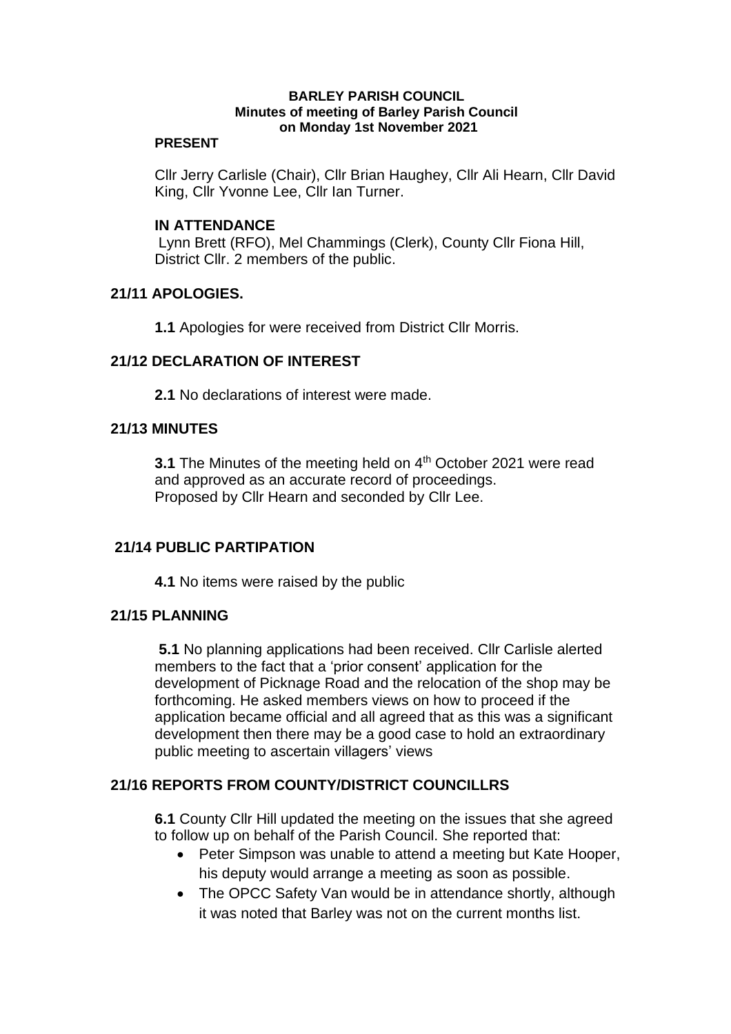#### **BARLEY PARISH COUNCIL Minutes of meeting of Barley Parish Council on Monday 1st November 2021**

#### **PRESENT**

Cllr Jerry Carlisle (Chair), Cllr Brian Haughey, Cllr Ali Hearn, Cllr David King, Cllr Yvonne Lee, Cllr Ian Turner.

### **IN ATTENDANCE**

Lynn Brett (RFO), Mel Chammings (Clerk), County Cllr Fiona Hill, District Cllr. 2 members of the public.

### **21/11 APOLOGIES.**

**1.1** Apologies for were received from District Cllr Morris.

### **21/12 DECLARATION OF INTEREST**

**2.1** No declarations of interest were made.

#### **21/13 MINUTES**

**3.1** The Minutes of the meeting held on 4<sup>th</sup> October 2021 were read and approved as an accurate record of proceedings. Proposed by Cllr Hearn and seconded by Cllr Lee.

### **21/14 PUBLIC PARTIPATION**

**4.1** No items were raised by the public

### **21/15 PLANNING**

**5.1** No planning applications had been received. Cllr Carlisle alerted members to the fact that a 'prior consent' application for the development of Picknage Road and the relocation of the shop may be forthcoming. He asked members views on how to proceed if the application became official and all agreed that as this was a significant development then there may be a good case to hold an extraordinary public meeting to ascertain villagers' views

### **21/16 REPORTS FROM COUNTY/DISTRICT COUNCILLRS**

**6.1** County Cllr Hill updated the meeting on the issues that she agreed to follow up on behalf of the Parish Council. She reported that:

- Peter Simpson was unable to attend a meeting but Kate Hooper, his deputy would arrange a meeting as soon as possible.
- The OPCC Safety Van would be in attendance shortly, although it was noted that Barley was not on the current months list.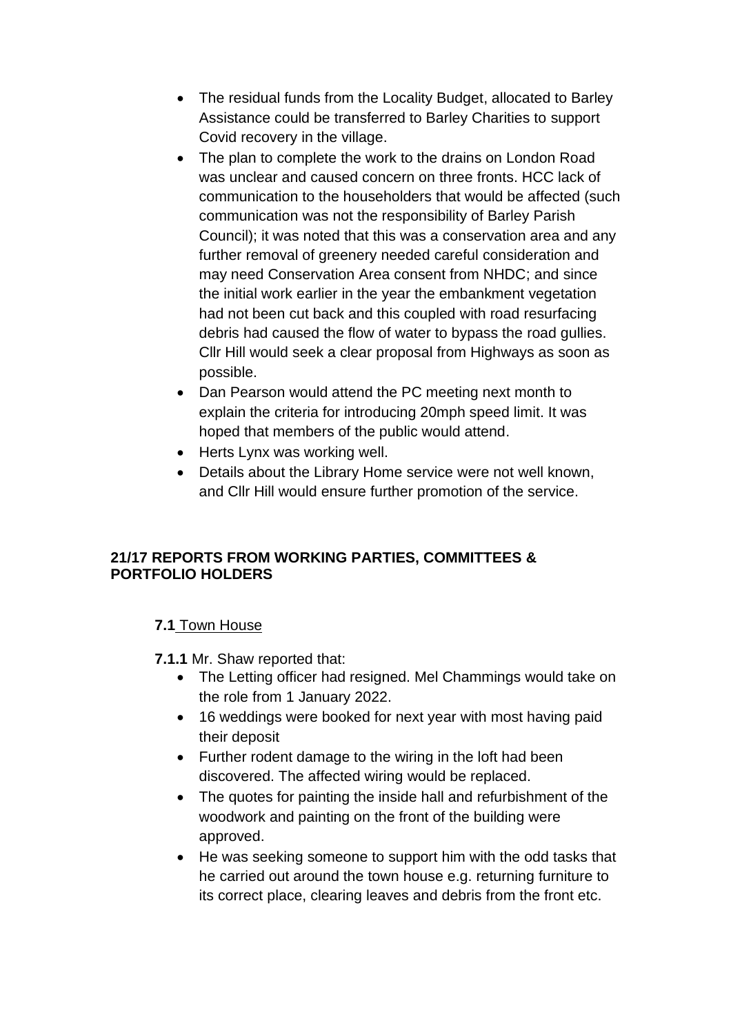- The residual funds from the Locality Budget, allocated to Barley Assistance could be transferred to Barley Charities to support Covid recovery in the village.
- The plan to complete the work to the drains on London Road was unclear and caused concern on three fronts. HCC lack of communication to the householders that would be affected (such communication was not the responsibility of Barley Parish Council); it was noted that this was a conservation area and any further removal of greenery needed careful consideration and may need Conservation Area consent from NHDC; and since the initial work earlier in the year the embankment vegetation had not been cut back and this coupled with road resurfacing debris had caused the flow of water to bypass the road gullies. Cllr Hill would seek a clear proposal from Highways as soon as possible.
- Dan Pearson would attend the PC meeting next month to explain the criteria for introducing 20mph speed limit. It was hoped that members of the public would attend.
- Herts Lynx was working well.
- Details about the Library Home service were not well known, and Cllr Hill would ensure further promotion of the service.

## **21/17 REPORTS FROM WORKING PARTIES, COMMITTEES & PORTFOLIO HOLDERS**

# **7.1** Town House

- **7.1.1** Mr. Shaw reported that:
	- The Letting officer had resigned. Mel Chammings would take on the role from 1 January 2022.
	- 16 weddings were booked for next year with most having paid their deposit
	- Further rodent damage to the wiring in the loft had been discovered. The affected wiring would be replaced.
	- The quotes for painting the inside hall and refurbishment of the woodwork and painting on the front of the building were approved.
	- He was seeking someone to support him with the odd tasks that he carried out around the town house e.g. returning furniture to its correct place, clearing leaves and debris from the front etc.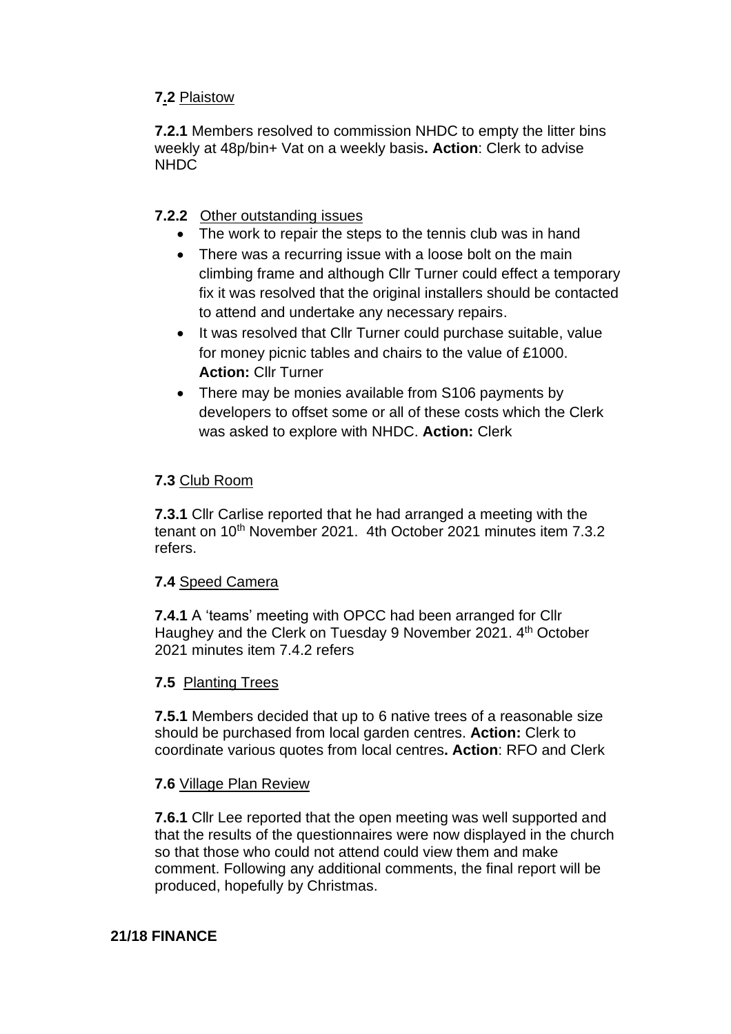## **7.2** Plaistow

**7.2.1** Members resolved to commission NHDC to empty the litter bins weekly at 48p/bin+ Vat on a weekly basis**. Action**: Clerk to advise NHDC

## **7.2.2** Other outstanding issues

- The work to repair the steps to the tennis club was in hand
- There was a recurring issue with a loose bolt on the main climbing frame and although Cllr Turner could effect a temporary fix it was resolved that the original installers should be contacted to attend and undertake any necessary repairs.
- It was resolved that Cllr Turner could purchase suitable, value for money picnic tables and chairs to the value of £1000. **Action:** Cllr Turner
- There may be monies available from S106 payments by developers to offset some or all of these costs which the Clerk was asked to explore with NHDC. **Action:** Clerk

### **7.3** Club Room

**7.3.1** Cllr Carlise reported that he had arranged a meeting with the tenant on 10<sup>th</sup> November 2021. 4th October 2021 minutes item 7.3.2 refers.

### **7.4** Speed Camera

**7.4.1** A 'teams' meeting with OPCC had been arranged for Cllr Haughey and the Clerk on Tuesday 9 November 2021. 4<sup>th</sup> October 2021 minutes item 7.4.2 refers

### **7.5** Planting Trees

**7.5.1** Members decided that up to 6 native trees of a reasonable size should be purchased from local garden centres. **Action:** Clerk to coordinate various quotes from local centres**. Action**: RFO and Clerk

### **7.6** Village Plan Review

**7.6.1** Cllr Lee reported that the open meeting was well supported and that the results of the questionnaires were now displayed in the church so that those who could not attend could view them and make comment. Following any additional comments, the final report will be produced, hopefully by Christmas.

### **21/18 FINANCE**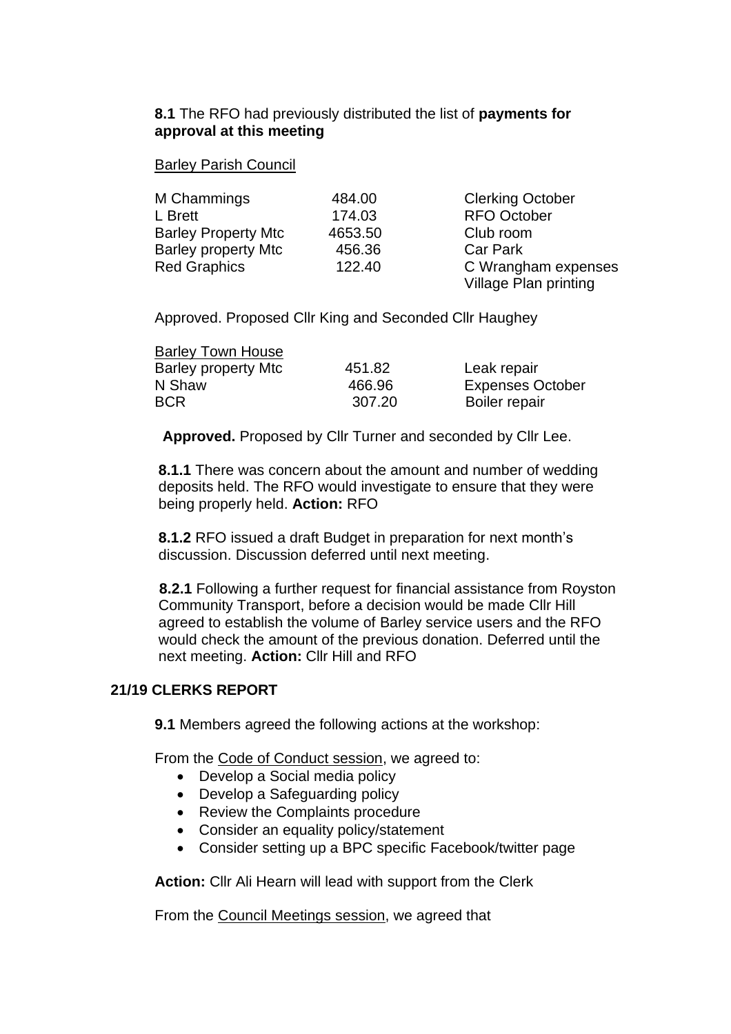### **8.1** The RFO had previously distributed the list of **payments for approval at this meeting**

#### Barley Parish Council

| M Chammings                | 484.00  | <b>Clerking October</b> |
|----------------------------|---------|-------------------------|
| L Brett                    | 174.03  | <b>RFO October</b>      |
| <b>Barley Property Mtc</b> | 4653.50 | Club room               |
| <b>Barley property Mtc</b> | 456.36  | <b>Car Park</b>         |
| <b>Red Graphics</b>        | 122.40  | C Wrangham expenses     |
|                            |         | Village Plan printing   |

Approved. Proposed Cllr King and Seconded Cllr Haughey

| <b>Barley Town House</b>   |        |                         |
|----------------------------|--------|-------------------------|
| <b>Barley property Mtc</b> | 451.82 | Leak repair             |
| N Shaw                     | 466.96 | <b>Expenses October</b> |
| <b>BCR</b>                 | 307.20 | Boiler repair           |

**Approved.** Proposed by Cllr Turner and seconded by Cllr Lee.

**8.1.1** There was concern about the amount and number of wedding deposits held. The RFO would investigate to ensure that they were being properly held. **Action:** RFO

**8.1.2** RFO issued a draft Budget in preparation for next month's discussion. Discussion deferred until next meeting.

**8.2.1** Following a further request for financial assistance from Royston Community Transport, before a decision would be made Cllr Hill agreed to establish the volume of Barley service users and the RFO would check the amount of the previous donation. Deferred until the next meeting. **Action:** Cllr Hill and RFO

### **21/19 CLERKS REPORT**

**9.1** Members agreed the following actions at the workshop:

From the Code of Conduct session, we agreed to:

- Develop a Social media policy
- Develop a Safeguarding policy
- Review the Complaints procedure
- Consider an equality policy/statement
- Consider setting up a BPC specific Facebook/twitter page

**Action:** Cllr Ali Hearn will lead with support from the Clerk

From the Council Meetings session, we agreed that